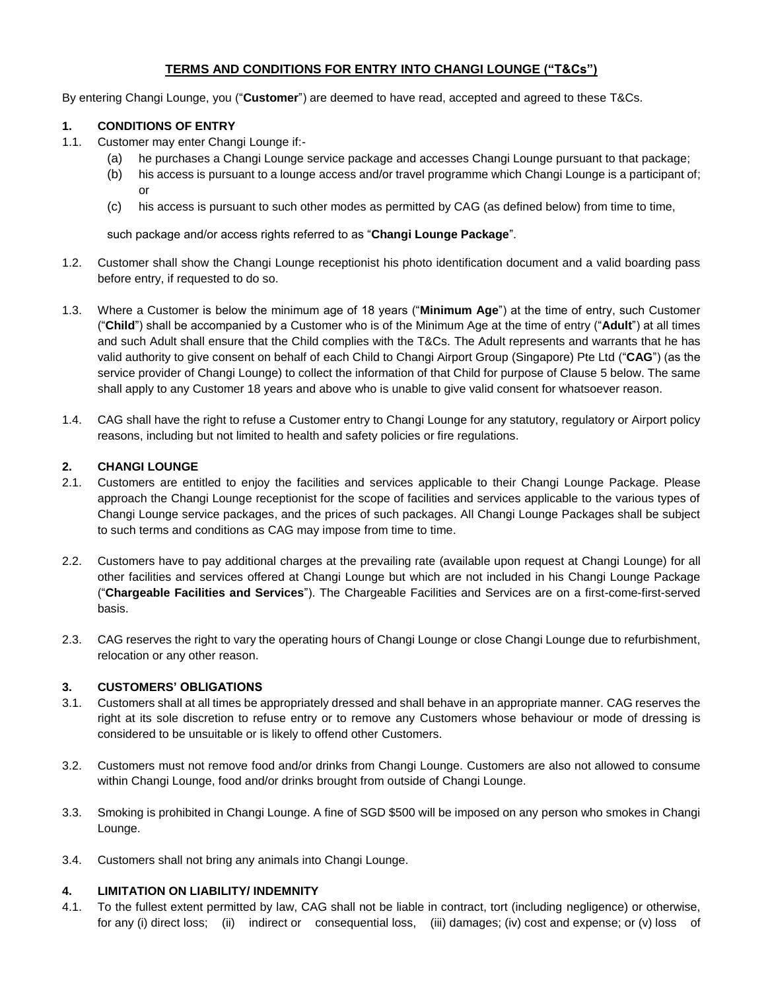# **TERMS AND CONDITIONS FOR ENTRY INTO CHANGI LOUNGE ("T&Cs")**

By entering Changi Lounge, you ("**Customer**") are deemed to have read, accepted and agreed to these T&Cs.

## **1. CONDITIONS OF ENTRY**

- 1.1. Customer may enter Changi Lounge if:-
	- (a) he purchases a Changi Lounge service package and accesses Changi Lounge pursuant to that package;
	- (b) his access is pursuant to a lounge access and/or travel programme which Changi Lounge is a participant of; or
	- (c) his access is pursuant to such other modes as permitted by CAG (as defined below) from time to time,

such package and/or access rights referred to as "**Changi Lounge Package**".

- 1.2. Customer shall show the Changi Lounge receptionist his photo identification document and a valid boarding pass before entry, if requested to do so.
- 1.3. Where a Customer is below the minimum age of 18 years ("**Minimum Age**") at the time of entry, such Customer ("**Child**") shall be accompanied by a Customer who is of the Minimum Age at the time of entry ("**Adult**") at all times and such Adult shall ensure that the Child complies with the T&Cs. The Adult represents and warrants that he has valid authority to give consent on behalf of each Child to Changi Airport Group (Singapore) Pte Ltd ("**CAG**") (as the service provider of Changi Lounge) to collect the information of that Child for purpose of Clause 5 below. The same shall apply to any Customer 18 years and above who is unable to give valid consent for whatsoever reason.
- 1.4. CAG shall have the right to refuse a Customer entry to Changi Lounge for any statutory, regulatory or Airport policy reasons, including but not limited to health and safety policies or fire regulations.

### **2. CHANGI LOUNGE**

- 2.1. Customers are entitled to enjoy the facilities and services applicable to their Changi Lounge Package. Please approach the Changi Lounge receptionist for the scope of facilities and services applicable to the various types of Changi Lounge service packages, and the prices of such packages. All Changi Lounge Packages shall be subject to such terms and conditions as CAG may impose from time to time.
- 2.2. Customers have to pay additional charges at the prevailing rate (available upon request at Changi Lounge) for all other facilities and services offered at Changi Lounge but which are not included in his Changi Lounge Package ("**Chargeable Facilities and Services**"). The Chargeable Facilities and Services are on a first-come-first-served basis.
- 2.3. CAG reserves the right to vary the operating hours of Changi Lounge or close Changi Lounge due to refurbishment, relocation or any other reason.

#### **3. CUSTOMERS' OBLIGATIONS**

- 3.1. Customers shall at all times be appropriately dressed and shall behave in an appropriate manner. CAG reserves the right at its sole discretion to refuse entry or to remove any Customers whose behaviour or mode of dressing is considered to be unsuitable or is likely to offend other Customers.
- 3.2. Customers must not remove food and/or drinks from Changi Lounge. Customers are also not allowed to consume within Changi Lounge, food and/or drinks brought from outside of Changi Lounge.
- 3.3. Smoking is prohibited in Changi Lounge. A fine of SGD \$500 will be imposed on any person who smokes in Changi Lounge.
- 3.4. Customers shall not bring any animals into Changi Lounge.

# **4. LIMITATION ON LIABILITY/ INDEMNITY**

4.1. To the fullest extent permitted by law, CAG shall not be liable in contract, tort (including negligence) or otherwise, for any (i) direct loss; (ii) indirect or consequential loss, (iii) damages; (iv) cost and expense; or (v) loss of